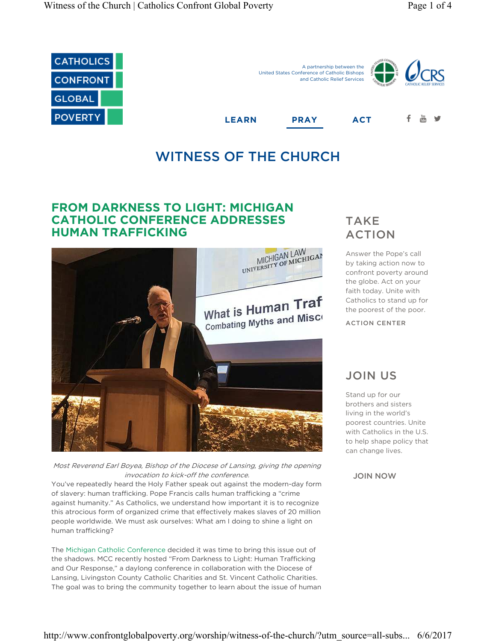

# WITNESS OF THE CHURCH

### **FROM DARKNESS TO LIGHT: MICHIGAN CATHOLIC CONFERENCE ADDRESSES HUMAN TRAFFICKING**



Most Reverend Earl Boyea, Bishop of the Diocese of Lansing, giving the opening invocation to kick-off the conference.

You've repeatedly heard the Holy Father speak out against the modern-day form of slavery: human trafficking. Pope Francis calls human trafficking a "crime against humanity." As Catholics, we understand how important it is to recognize this atrocious form of organized crime that effectively makes slaves of 20 million people worldwide. We must ask ourselves: What am I doing to shine a light on human trafficking?

The Michigan Catholic Conference decided it was time to bring this issue out of the shadows. MCC recently hosted "From Darkness to Light: Human Trafficking and Our Response," a daylong conference in collaboration with the Diocese of Lansing, Livingston County Catholic Charities and St. Vincent Catholic Charities. The goal was to bring the community together to learn about the issue of human

## TAKE ACTION

Answer the Pope's call by taking action now to confront poverty around the globe. Act on your faith today. Unite with Catholics to stand up for the poorest of the poor.

ACTION CENTER

## JOIN US

Stand up for our brothers and sisters living in the world's poorest countries. Unite with Catholics in the U.S. to help shape policy that can change lives.

JOIN NOW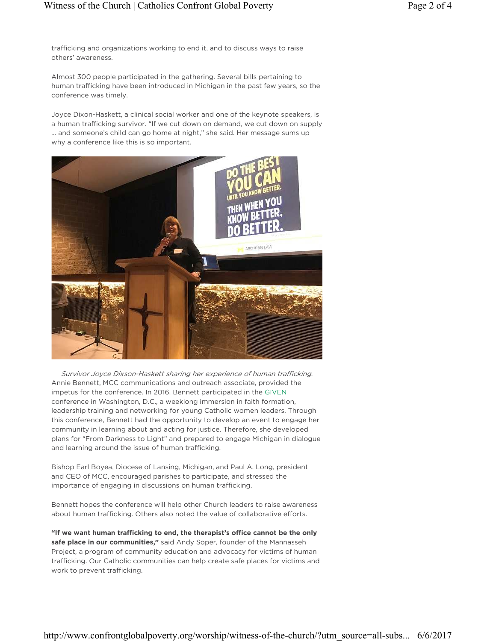trafficking and organizations working to end it, and to discuss ways to raise others' awareness.

Almost 300 people participated in the gathering. Several bills pertaining to human trafficking have been introduced in Michigan in the past few years, so the conference was timely.

Joyce Dixon-Haskett, a clinical social worker and one of the keynote speakers, is a human trafficking survivor. "If we cut down on demand, we cut down on supply … and someone's child can go home at night," she said. Her message sums up why a conference like this is so important.



Survivor Joyce Dixson-Haskett sharing her experience of human trafficking. Annie Bennett, MCC communications and outreach associate, provided the impetus for the conference. In 2016, Bennett participated in the GIVEN conference in Washington, D.C., a weeklong immersion in faith formation, leadership training and networking for young Catholic women leaders. Through this conference, Bennett had the opportunity to develop an event to engage her community in learning about and acting for justice. Therefore, she developed plans for "From Darkness to Light" and prepared to engage Michigan in dialogue and learning around the issue of human trafficking.

Bishop Earl Boyea, Diocese of Lansing, Michigan, and Paul A. Long, president and CEO of MCC, encouraged parishes to participate, and stressed the importance of engaging in discussions on human trafficking.

Bennett hopes the conference will help other Church leaders to raise awareness about human trafficking. Others also noted the value of collaborative efforts.

**"If we want human trafficking to end, the therapist's office cannot be the only safe place in our communities,"** said Andy Soper, founder of the Mannasseh Project, a program of community education and advocacy for victims of human trafficking. Our Catholic communities can help create safe places for victims and work to prevent trafficking.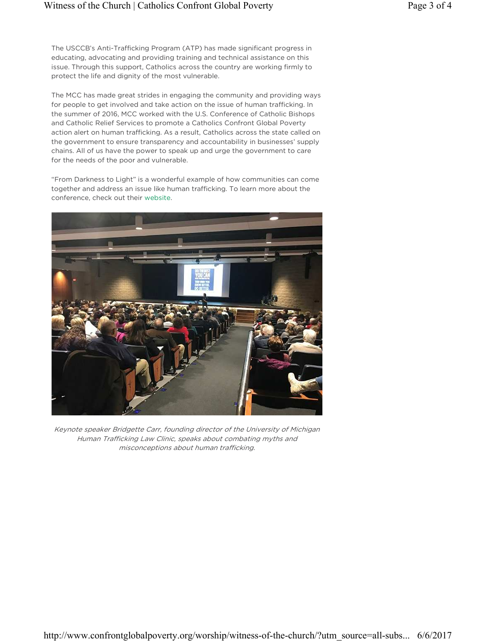The USCCB's Anti-Trafficking Program (ATP) has made significant progress in educating, advocating and providing training and technical assistance on this issue. Through this support, Catholics across the country are working firmly to protect the life and dignity of the most vulnerable.

The MCC has made great strides in engaging the community and providing ways for people to get involved and take action on the issue of human trafficking. In the summer of 2016, MCC worked with the U.S. Conference of Catholic Bishops and Catholic Relief Services to promote a Catholics Confront Global Poverty action alert on human trafficking. As a result, Catholics across the state called on the government to ensure transparency and accountability in businesses' supply chains. All of us have the power to speak up and urge the government to care for the needs of the poor and vulnerable.

"From Darkness to Light" is a wonderful example of how communities can come together and address an issue like human trafficking. To learn more about the conference, check out their website.



Keynote speaker Bridgette Carr, founding director of the University of Michigan Human Trafficking Law Clinic, speaks about combating myths and misconceptions about human trafficking.